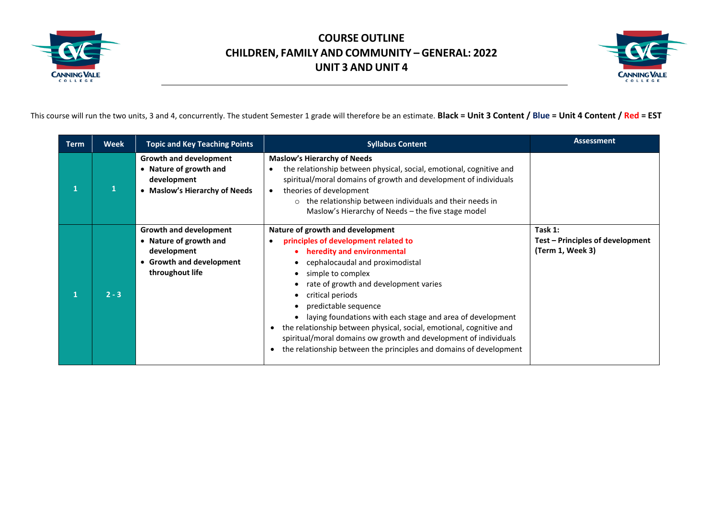



This course will run the two units, 3 and 4, concurrently. The student Semester 1 grade will therefore be an estimate. **Black = Unit 3 Content / Blue = Unit 4 Content / Red = EST**

| <b>Term</b> | <b>Week</b> | <b>Topic and Key Teaching Points</b>                                                                                | <b>Syllabus Content</b>                                                                                                                                                                                                                                                                                                                                                                                                                                                                                                                                                                                  | <b>Assessment</b>                                               |
|-------------|-------------|---------------------------------------------------------------------------------------------------------------------|----------------------------------------------------------------------------------------------------------------------------------------------------------------------------------------------------------------------------------------------------------------------------------------------------------------------------------------------------------------------------------------------------------------------------------------------------------------------------------------------------------------------------------------------------------------------------------------------------------|-----------------------------------------------------------------|
|             |             | <b>Growth and development</b><br>Nature of growth and<br>development<br><b>Maslow's Hierarchy of Needs</b>          | <b>Maslow's Hierarchy of Needs</b><br>the relationship between physical, social, emotional, cognitive and<br>$\bullet$<br>spiritual/moral domains of growth and development of individuals<br>theories of development<br>$\bullet$<br>$\circ$ the relationship between individuals and their needs in<br>Maslow's Hierarchy of Needs – the five stage model                                                                                                                                                                                                                                              |                                                                 |
|             | $2 - 3$     | Growth and development<br>• Nature of growth and<br>development<br><b>Growth and development</b><br>throughout life | Nature of growth and development<br>principles of development related to<br>heredity and environmental<br>cephalocaudal and proximodistal<br>$\bullet$<br>simple to complex<br>$\bullet$<br>rate of growth and development varies<br>critical periods<br>$\bullet$<br>predictable sequence<br>$\bullet$<br>laying foundations with each stage and area of development<br>$\bullet$<br>the relationship between physical, social, emotional, cognitive and<br>spiritual/moral domains ow growth and development of individuals<br>the relationship between the principles and domains of development<br>٠ | Task 1:<br>Test - Principles of development<br>(Term 1, Week 3) |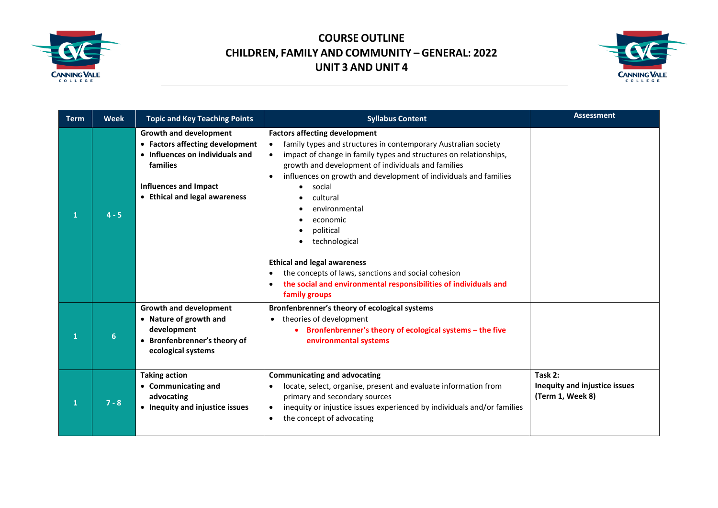



| <b>Term</b> | <b>Week</b> | <b>Topic and Key Teaching Points</b>                                                                                                                                             | <b>Syllabus Content</b>                                                                                                                                                                                                                                                                                                                                                                                                                                                                                                                                                                                                                   | <b>Assessment</b>                                            |
|-------------|-------------|----------------------------------------------------------------------------------------------------------------------------------------------------------------------------------|-------------------------------------------------------------------------------------------------------------------------------------------------------------------------------------------------------------------------------------------------------------------------------------------------------------------------------------------------------------------------------------------------------------------------------------------------------------------------------------------------------------------------------------------------------------------------------------------------------------------------------------------|--------------------------------------------------------------|
| 1           | $4 - 5$     | <b>Growth and development</b><br>• Factors affecting development<br>• Influences on individuals and<br>families<br><b>Influences and Impact</b><br>• Ethical and legal awareness | <b>Factors affecting development</b><br>family types and structures in contemporary Australian society<br>$\bullet$<br>impact of change in family types and structures on relationships,<br>$\bullet$<br>growth and development of individuals and families<br>influences on growth and development of individuals and families<br>$\bullet$<br>social<br>cultural<br>environmental<br>economic<br>political<br>technological<br><b>Ethical and legal awareness</b><br>the concepts of laws, sanctions and social cohesion<br>$\bullet$<br>the social and environmental responsibilities of individuals and<br>$\bullet$<br>family groups |                                                              |
| 1           | 6           | <b>Growth and development</b><br>• Nature of growth and<br>development<br>• Bronfenbrenner's theory of<br>ecological systems                                                     | Bronfenbrenner's theory of ecological systems<br>theories of development<br>Bronfenbrenner's theory of ecological systems - the five<br>environmental systems                                                                                                                                                                                                                                                                                                                                                                                                                                                                             |                                                              |
|             | $7 - 8$     | <b>Taking action</b><br>• Communicating and<br>advocating<br>• Inequity and injustice issues                                                                                     | <b>Communicating and advocating</b><br>locate, select, organise, present and evaluate information from<br>$\bullet$<br>primary and secondary sources<br>inequity or injustice issues experienced by individuals and/or families<br>$\bullet$<br>the concept of advocating<br>$\bullet$                                                                                                                                                                                                                                                                                                                                                    | Task 2:<br>Inequity and injustice issues<br>(Term 1, Week 8) |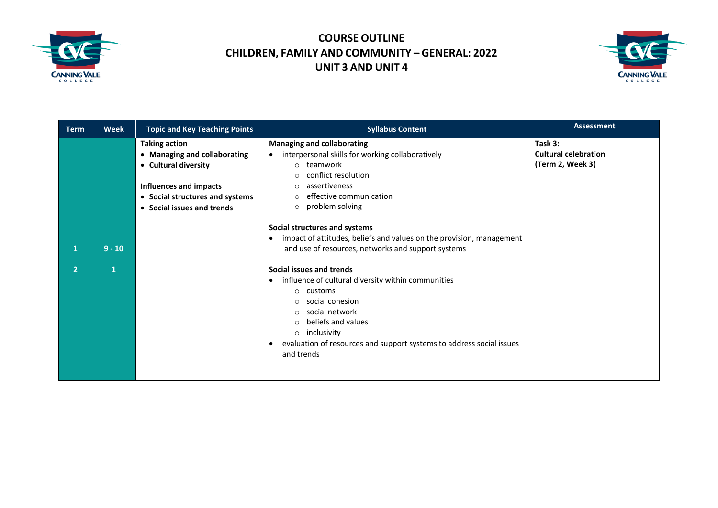



| <b>Term</b>    | <b>Week</b>  | <b>Topic and Key Teaching Points</b>  | <b>Syllabus Content</b>                                                                            | <b>Assessment</b>                      |
|----------------|--------------|---------------------------------------|----------------------------------------------------------------------------------------------------|----------------------------------------|
|                |              | <b>Taking action</b>                  | <b>Managing and collaborating</b><br>interpersonal skills for working collaboratively<br>$\bullet$ | Task 3:<br><b>Cultural celebration</b> |
|                |              | • Managing and collaborating          | o teamwork                                                                                         | (Term 2, Week 3)                       |
|                |              | • Cultural diversity                  | conflict resolution                                                                                |                                        |
|                |              | Influences and impacts                | $\circ$<br>assertiveness<br>$\Omega$                                                               |                                        |
|                |              |                                       | effective communication<br>$\circ$                                                                 |                                        |
|                |              | • Social structures and systems       | problem solving<br>$\circ$                                                                         |                                        |
|                |              | Social issues and trends<br>$\bullet$ |                                                                                                    |                                        |
|                |              |                                       | Social structures and systems                                                                      |                                        |
|                |              |                                       | impact of attitudes, beliefs and values on the provision, management<br>$\bullet$                  |                                        |
|                | $9 - 10$     |                                       | and use of resources, networks and support systems                                                 |                                        |
|                |              |                                       |                                                                                                    |                                        |
| $\overline{2}$ | $\mathbf{1}$ |                                       | Social issues and trends                                                                           |                                        |
|                |              |                                       | influence of cultural diversity within communities<br>$\bullet$                                    |                                        |
|                |              |                                       | customs<br>$\circ$                                                                                 |                                        |
|                |              |                                       | social cohesion<br>O                                                                               |                                        |
|                |              |                                       | social network<br>$\circ$                                                                          |                                        |
|                |              |                                       | beliefs and values<br>$\circ$                                                                      |                                        |
|                |              |                                       | inclusivity<br>$\circ$                                                                             |                                        |
|                |              |                                       | evaluation of resources and support systems to address social issues<br>٠                          |                                        |
|                |              |                                       | and trends                                                                                         |                                        |
|                |              |                                       |                                                                                                    |                                        |
|                |              |                                       |                                                                                                    |                                        |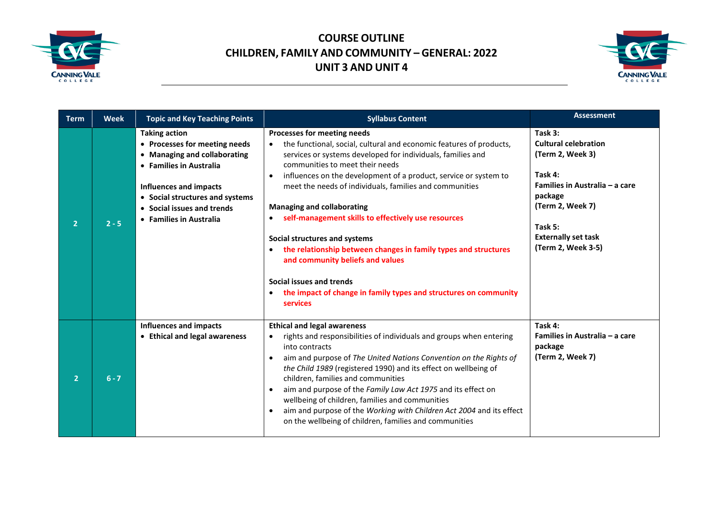



| <b>Term</b>    | <b>Week</b> | <b>Topic and Key Teaching Points</b>                                                                                                                                                                                                   | <b>Syllabus Content</b>                                                                                                                                                                                                                                                                                                                                                                                                                                                                                                                                                                                                                                                                                            | <b>Assessment</b>                                                                                                                                                                                     |
|----------------|-------------|----------------------------------------------------------------------------------------------------------------------------------------------------------------------------------------------------------------------------------------|--------------------------------------------------------------------------------------------------------------------------------------------------------------------------------------------------------------------------------------------------------------------------------------------------------------------------------------------------------------------------------------------------------------------------------------------------------------------------------------------------------------------------------------------------------------------------------------------------------------------------------------------------------------------------------------------------------------------|-------------------------------------------------------------------------------------------------------------------------------------------------------------------------------------------------------|
| $\overline{2}$ | $2 - 5$     | <b>Taking action</b><br>• Processes for meeting needs<br>• Managing and collaborating<br>• Families in Australia<br>Influences and impacts<br>• Social structures and systems<br>• Social issues and trends<br>• Families in Australia | Processes for meeting needs<br>the functional, social, cultural and economic features of products,<br>services or systems developed for individuals, families and<br>communities to meet their needs<br>influences on the development of a product, service or system to<br>$\bullet$<br>meet the needs of individuals, families and communities<br><b>Managing and collaborating</b><br>self-management skills to effectively use resources<br>Social structures and systems<br>the relationship between changes in family types and structures<br>$\bullet$<br>and community beliefs and values<br>Social issues and trends<br>the impact of change in family types and structures on community<br>٠<br>services | Task 3:<br><b>Cultural celebration</b><br>(Term 2, Week 3)<br>Task 4:<br>Families in Australia - a care<br>package<br>(Term 2, Week 7)<br>Task 5:<br><b>Externally set task</b><br>(Term 2, Week 3-5) |
| $\overline{2}$ | $6 - 7$     | <b>Influences and impacts</b><br><b>Ethical and legal awareness</b><br>$\bullet$                                                                                                                                                       | <b>Ethical and legal awareness</b><br>rights and responsibilities of individuals and groups when entering<br>into contracts<br>aim and purpose of The United Nations Convention on the Rights of<br>the Child 1989 (registered 1990) and its effect on wellbeing of<br>children, families and communities<br>aim and purpose of the Family Law Act 1975 and its effect on<br>wellbeing of children, families and communities<br>aim and purpose of the Working with Children Act 2004 and its effect<br>on the wellbeing of children, families and communities                                                                                                                                                     | Task 4:<br>Families in Australia - a care<br>package<br>(Term 2, Week 7)                                                                                                                              |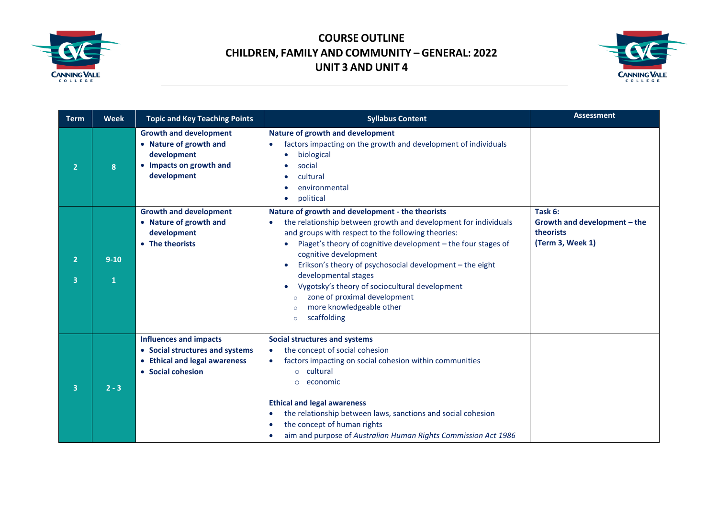



| <b>Term</b>                      | <b>Week</b>   | <b>Topic and Key Teaching Points</b>                                                                                                     | <b>Syllabus Content</b>                                                                                                                                                                                                                                                                                                                                                                                                                                                                                                            | <b>Assessment</b>                                                        |
|----------------------------------|---------------|------------------------------------------------------------------------------------------------------------------------------------------|------------------------------------------------------------------------------------------------------------------------------------------------------------------------------------------------------------------------------------------------------------------------------------------------------------------------------------------------------------------------------------------------------------------------------------------------------------------------------------------------------------------------------------|--------------------------------------------------------------------------|
| $\overline{2}$                   | 8             | <b>Growth and development</b><br>• Nature of growth and<br>development<br>• Impacts on growth and<br>development                         | Nature of growth and development<br>factors impacting on the growth and development of individuals<br>biological<br>social<br>cultural<br>environmental<br>political                                                                                                                                                                                                                                                                                                                                                               |                                                                          |
| $\overline{2}$<br>$\overline{3}$ | $9 - 10$<br>1 | <b>Growth and development</b><br>• Nature of growth and<br>development<br>• The theorists                                                | Nature of growth and development - the theorists<br>the relationship between growth and development for individuals<br>$\bullet$<br>and groups with respect to the following theories:<br>Piaget's theory of cognitive development - the four stages of<br>cognitive development<br>Erikson's theory of psychosocial development - the eight<br>developmental stages<br>Vygotsky's theory of sociocultural development<br>zone of proximal development<br>$\circ$<br>more knowledgeable other<br>$\circ$<br>scaffolding<br>$\circ$ | Task 6:<br>Growth and development - the<br>theorists<br>(Term 3, Week 1) |
| $\overline{3}$                   | $2 - 3$       | <b>Influences and impacts</b><br>• Social structures and systems<br><b>Ethical and legal awareness</b><br>$\bullet$<br>• Social cohesion | <b>Social structures and systems</b><br>the concept of social cohesion<br>$\bullet$<br>factors impacting on social cohesion within communities<br>$\bullet$<br>cultural<br>$\circ$<br>economic<br>$\circ$<br><b>Ethical and legal awareness</b><br>the relationship between laws, sanctions and social cohesion<br>$\bullet$<br>the concept of human rights<br>aim and purpose of Australian Human Rights Commission Act 1986                                                                                                      |                                                                          |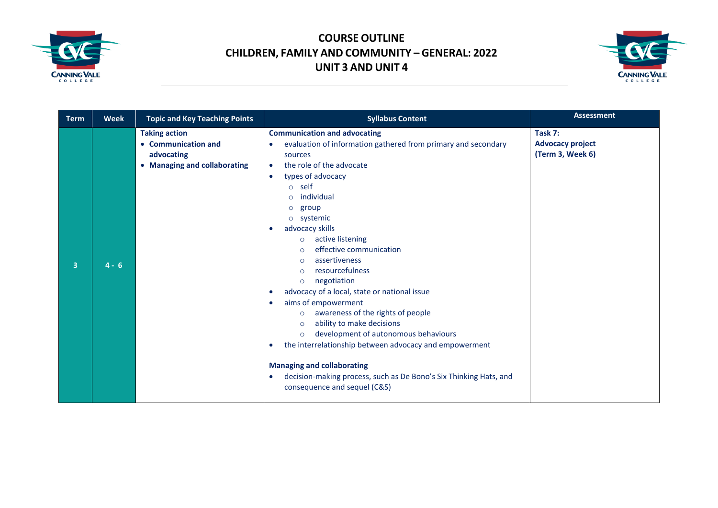



| <b>Term</b> | Week    | <b>Topic and Key Teaching Points</b>                                                      | <b>Syllabus Content</b>                                                                                                                                                                                                                                                                                                                                                                                                                                                                                                                                                                                                                                                                                                                                                                                                                                          | <b>Assessment</b>                                      |
|-------------|---------|-------------------------------------------------------------------------------------------|------------------------------------------------------------------------------------------------------------------------------------------------------------------------------------------------------------------------------------------------------------------------------------------------------------------------------------------------------------------------------------------------------------------------------------------------------------------------------------------------------------------------------------------------------------------------------------------------------------------------------------------------------------------------------------------------------------------------------------------------------------------------------------------------------------------------------------------------------------------|--------------------------------------------------------|
| 3           | $4 - 6$ | <b>Taking action</b><br>• Communication and<br>advocating<br>• Managing and collaborating | <b>Communication and advocating</b><br>evaluation of information gathered from primary and secondary<br>sources<br>the role of the advocate<br>$\bullet$<br>types of advocacy<br>$\bullet$<br>o self<br>individual<br>group<br>$\circ$<br>systemic<br>$\circ$<br>advocacy skills<br>active listening<br>$\circ$<br>effective communication<br>$\circ$<br>assertiveness<br>$\circ$<br>resourcefulness<br>$\Omega$<br>negotiation<br>$\circ$<br>advocacy of a local, state or national issue<br>aims of empowerment<br>awareness of the rights of people<br>$\circ$<br>ability to make decisions<br>$\circ$<br>development of autonomous behaviours<br>$\circ$<br>the interrelationship between advocacy and empowerment<br><b>Managing and collaborating</b><br>decision-making process, such as De Bono's Six Thinking Hats, and<br>consequence and sequel (C&S) | Task 7:<br><b>Advocacy project</b><br>(Term 3, Week 6) |